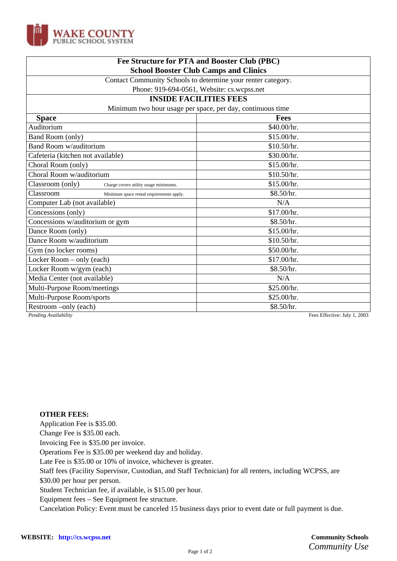

| Fee Structure for PTA and Booster Club (PBC)                 |             |
|--------------------------------------------------------------|-------------|
| <b>School Booster Club Camps and Clinics</b>                 |             |
| Contact Community Schools to determine your renter category. |             |
| Phone: 919-694-0561, Website: cs.wcpss.net                   |             |
| <b>INSIDE FACILITIES FEES</b>                                |             |
| Minimum two hour usage per space, per day, continuous time   |             |
| <b>Space</b>                                                 | <b>Fees</b> |
| Auditorium                                                   | \$40.00/hr. |
| Band Room (only)                                             | \$15.00/hr. |
| <b>Band Room w/auditorium</b>                                | \$10.50/hr. |
| Cafeteria (kitchen not available)                            | \$30.00/hr. |
| Choral Room (only)                                           | \$15.00/hr. |
| Choral Room w/auditorium                                     | \$10.50/hr. |
| Classroom (only)<br>Charge covers utility usage minimums.    | \$15.00/hr. |
| Classroom<br>Minimum space rental requirements apply.        | \$8.50/hr.  |
| Computer Lab (not available)                                 | N/A         |
| Concessions (only)                                           | \$17.00/hr. |
| Concessions w/auditorium or gym                              | \$8.50/hr.  |
| Dance Room (only)                                            | \$15.00/hr. |
| Dance Room w/auditorium                                      | \$10.50/hr. |
| Gym (no locker rooms)                                        | \$50.00/hr. |
| Locker Room – only (each)                                    | \$17.00/hr. |
| Locker Room w/gym (each)                                     | \$8.50/hr.  |
| Media Center (not available)                                 | N/A         |
| Multi-Purpose Room/meetings                                  | \$25.00/hr. |
| Multi-Purpose Room/sports                                    | \$25.00/hr. |
| Restroom –only (each)                                        | \$8.50/hr.  |

*Pending Availability* Fees Effective: July 1, 2003

## **OTHER FEES:**

Application Fee is \$35.00.

Change Fee is \$35.00 each.

Invoicing Fee is \$35.00 per invoice.

Operations Fee is \$35.00 per weekend day and holiday.

Late Fee is \$35.00 or 10% of invoice, whichever is greater.

Staff fees (Facility Supervisor, Custodian, and Staff Technician) for all renters, including WCPSS, are

\$30.00 per hour per person.

Student Technician fee, if available, is \$15.00 per hour.

Equipment fees – See Equipment fee structure.

Cancelation Policy: Event must be canceled 15 business days prior to event date or full payment is due.